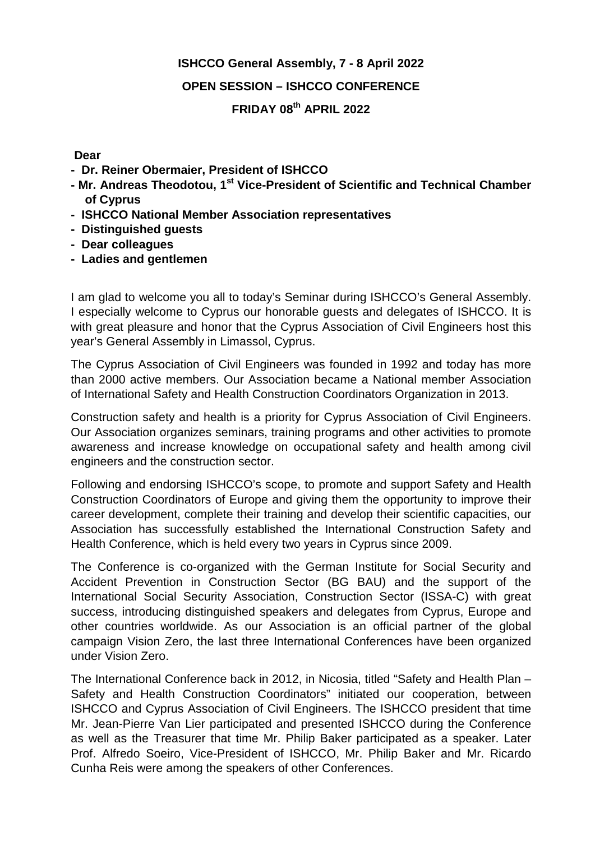## **ISHCCO General Assembly, 7 - 8 April 2022 OPEN SESSION – ISHCCO CONFERENCE FRIDAY 08th APRIL 2022**

## **Dear**

- **Dr. Reiner Obermaier, President of ISHCCO**
- **- Mr. Andreas Theodotou, 1st Vice-President of Scientific and Technical Chamber of Cyprus**
- **- ISHCCO National Member Association representatives**
- **- Distinguished guests**
- **- Dear colleagues**
- **- Ladies and gentlemen**

I am glad to welcome you all to today's Seminar during ISHCCO's General Assembly. I especially welcome to Cyprus our honorable guests and delegates of ISHCCO. It is with great pleasure and honor that the Cyprus Association of Civil Engineers host this year's General Assembly in Limassol, Cyprus.

The Cyprus Association of Civil Engineers was founded in 1992 and today has more than 2000 active members. Our Association became a National member Association of International Safety and Health Construction Coordinators Organization in 2013.

Construction safety and health is a priority for Cyprus Association of Civil Engineers. Our Association organizes seminars, training programs and other activities to promote awareness and increase knowledge on occupational safety and health among civil engineers and the construction sector.

Following and endorsing ISHCCO's scope, to promote and support Safety and Health Construction Coordinators of Europe and giving them the opportunity to improve their career development, complete their training and develop their scientific capacities, our Association has successfully established the International Construction Safety and Health Conference, which is held every two years in Cyprus since 2009.

The Conference is co-organized with the German Institute for Social Security and Accident Prevention in Construction Sector (BG BAU) and the support of the International Social Security Association, Construction Sector (ISSA-C) with great success, introducing distinguished speakers and delegates from Cyprus, Europe and other countries worldwide. As our Association is an official partner of the global campaign Vision Zero, the last three International Conferences have been organized under Vision Zero.

The International Conference back in 2012, in Nicosia, titled "Safety and Health Plan – Safety and Health Construction Coordinators" initiated our cooperation, between ISHCCO and Cyprus Association of Civil Engineers. The ISHCCO president that time Mr. Jean-Pierre Van Lier participated and presented ISHCCO during the Conference as well as the Treasurer that time Mr. Philip Baker participated as a speaker. Later Prof. Alfredo Soeiro, Vice-President of ISHCCO, Mr. Philip Baker and Mr. Ricardo Cunha Reis were among the speakers of other Conferences.